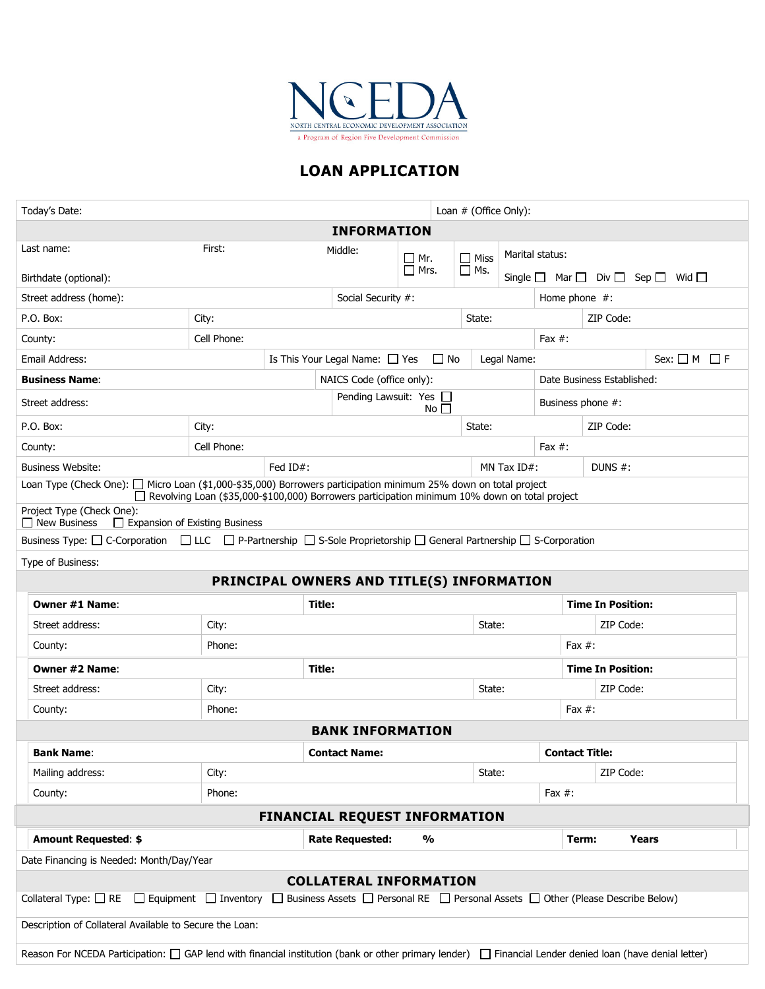

# **LOAN APPLICATION**

| Loan # (Office Only):<br>Today's Date:                                                                                                                                                                            |                                                                 |                    |                                                |                |            |                       |                                             |                            |  |  |
|-------------------------------------------------------------------------------------------------------------------------------------------------------------------------------------------------------------------|-----------------------------------------------------------------|--------------------|------------------------------------------------|----------------|------------|-----------------------|---------------------------------------------|----------------------------|--|--|
| <b>INFORMATION</b>                                                                                                                                                                                                |                                                                 |                    |                                                |                |            |                       |                                             |                            |  |  |
| Last name:                                                                                                                                                                                                        | Middle:                                                         |                    | __l Mr.                                        | $\Box$ Miss    |            | Marital status:       |                                             |                            |  |  |
| Birthdate (optional):                                                                                                                                                                                             |                                                                 |                    |                                                |                | $\Box$ Ms. | Single $\square$      | Mar $\Box$ Div $\Box$ Sep $\Box$ Wid $\Box$ |                            |  |  |
| Street address (home):                                                                                                                                                                                            |                                                                 | Social Security #: |                                                |                |            | Home phone $#$ :      |                                             |                            |  |  |
| P.O. Box:                                                                                                                                                                                                         | City:                                                           |                    |                                                |                | State:     |                       |                                             | ZIP Code:                  |  |  |
| County:                                                                                                                                                                                                           | Cell Phone:<br>Fax $#$ :                                        |                    |                                                |                |            |                       |                                             |                            |  |  |
| Email Address:                                                                                                                                                                                                    | Is This Your Legal Name: $\Box$ Yes<br>$\Box$ No<br>Legal Name: |                    |                                                |                |            |                       |                                             | $Sex: \Box M \Box F$       |  |  |
| <b>Business Name:</b>                                                                                                                                                                                             |                                                                 |                    | NAICS Code (office only):                      |                |            |                       |                                             | Date Business Established: |  |  |
| Street address:                                                                                                                                                                                                   |                                                                 |                    | Pending Lawsuit: Yes $\square$<br>No $\square$ |                |            |                       | Business phone #:                           |                            |  |  |
| P.O. Box:                                                                                                                                                                                                         | City:                                                           |                    |                                                |                |            | State:                |                                             | ZIP Code:                  |  |  |
| County:                                                                                                                                                                                                           | Cell Phone:                                                     |                    |                                                |                |            |                       | Fax $#$ :                                   |                            |  |  |
| <b>Business Website:</b>                                                                                                                                                                                          |                                                                 | Fed ID#:           |                                                | MN Tax $ID#$ : |            |                       | DUNS $#$ :                                  |                            |  |  |
| Loan Type (Check One): □ Micro Loan (\$1,000-\$35,000) Borrowers participation minimum 25% down on total project<br>Revolving Loan (\$35,000-\$100,000) Borrowers participation minimum 10% down on total project |                                                                 |                    |                                                |                |            |                       |                                             |                            |  |  |
| Project Type (Check One):<br>$\Box$ New Business<br>Expansion of Existing Business                                                                                                                                |                                                                 |                    |                                                |                |            |                       |                                             |                            |  |  |
| Business Type: □ C-Corporation □ LLC □ P-Partnership □ S-Sole Proprietorship □ General Partnership □ S-Corporation                                                                                                |                                                                 |                    |                                                |                |            |                       |                                             |                            |  |  |
| Type of Business:                                                                                                                                                                                                 |                                                                 |                    |                                                |                |            |                       |                                             |                            |  |  |
| PRINCIPAL OWNERS AND TITLE(S) INFORMATION                                                                                                                                                                         |                                                                 |                    |                                                |                |            |                       |                                             |                            |  |  |
| <b>Owner #1 Name:</b>                                                                                                                                                                                             |                                                                 | Title:             |                                                |                |            |                       | <b>Time In Position:</b>                    |                            |  |  |
| Street address:                                                                                                                                                                                                   | City:                                                           |                    |                                                |                |            | State:                |                                             | ZIP Code:                  |  |  |
| County:                                                                                                                                                                                                           | Phone:                                                          |                    |                                                |                |            | Fax $#$ :             |                                             |                            |  |  |
| Owner #2 Name:                                                                                                                                                                                                    |                                                                 |                    | Title:                                         |                |            |                       |                                             | <b>Time In Position:</b>   |  |  |
| Street address:                                                                                                                                                                                                   | City:                                                           |                    |                                                |                |            | State:                |                                             | ZIP Code:                  |  |  |
| County:                                                                                                                                                                                                           | Phone:                                                          |                    |                                                |                |            |                       | Fax $#$ :                                   |                            |  |  |
| <b>BANK INFORMATION</b>                                                                                                                                                                                           |                                                                 |                    |                                                |                |            |                       |                                             |                            |  |  |
| <b>Bank Name:</b>                                                                                                                                                                                                 |                                                                 |                    | <b>Contact Name:</b>                           |                |            | <b>Contact Title:</b> |                                             |                            |  |  |
| Mailing address:                                                                                                                                                                                                  | City:                                                           |                    |                                                |                | State:     |                       | ZIP Code:                                   |                            |  |  |
| County:                                                                                                                                                                                                           | Phone:                                                          |                    |                                                |                | Fax $#$ :  |                       |                                             |                            |  |  |
| <b>FINANCIAL REQUEST INFORMATION</b>                                                                                                                                                                              |                                                                 |                    |                                                |                |            |                       |                                             |                            |  |  |
| <b>Amount Requested: \$</b>                                                                                                                                                                                       |                                                                 |                    | <b>Rate Requested:</b>                         | %              |            |                       | Term:                                       | Years                      |  |  |
| Date Financing is Needed: Month/Day/Year                                                                                                                                                                          |                                                                 |                    |                                                |                |            |                       |                                             |                            |  |  |
| <b>COLLATERAL INFORMATION</b>                                                                                                                                                                                     |                                                                 |                    |                                                |                |            |                       |                                             |                            |  |  |
| Business Assets □ Personal RE □ Personal Assets □ Other (Please Describe Below)<br>Collateral Type: $\Box$ RE<br>$\Box$ Equipment $\Box$ Inventory $\Box$                                                         |                                                                 |                    |                                                |                |            |                       |                                             |                            |  |  |
| Description of Collateral Available to Secure the Loan:                                                                                                                                                           |                                                                 |                    |                                                |                |            |                       |                                             |                            |  |  |
| Reason For NCEDA Participation: $\Box$ GAP lend with financial institution (bank or other primary lender) $\Box$ Financial Lender denied loan (have denial letter)                                                |                                                                 |                    |                                                |                |            |                       |                                             |                            |  |  |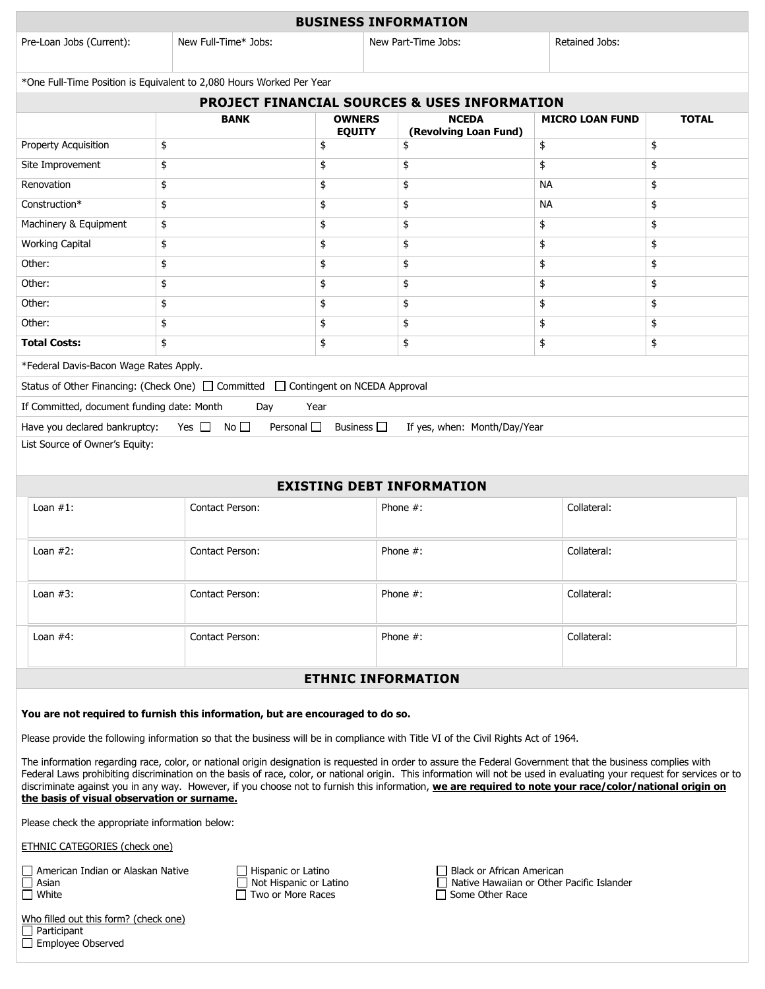| <b>BUSINESS INFORMATION</b>                                                                                                                                                                                                                                                                                                                                                                                                                                                                                                                                                                                                                                                                                                 |                                                                                                                             |    |                                               |    |                                                                                                    |                                       |          |                        |              |  |
|-----------------------------------------------------------------------------------------------------------------------------------------------------------------------------------------------------------------------------------------------------------------------------------------------------------------------------------------------------------------------------------------------------------------------------------------------------------------------------------------------------------------------------------------------------------------------------------------------------------------------------------------------------------------------------------------------------------------------------|-----------------------------------------------------------------------------------------------------------------------------|----|-----------------------------------------------|----|----------------------------------------------------------------------------------------------------|---------------------------------------|----------|------------------------|--------------|--|
| Pre-Loan Jobs (Current):                                                                                                                                                                                                                                                                                                                                                                                                                                                                                                                                                                                                                                                                                                    | New Full-Time* Jobs:                                                                                                        |    | New Part-Time Jobs:                           |    |                                                                                                    | Retained Jobs:                        |          |                        |              |  |
| *One Full-Time Position is Equivalent to 2,080 Hours Worked Per Year                                                                                                                                                                                                                                                                                                                                                                                                                                                                                                                                                                                                                                                        |                                                                                                                             |    |                                               |    |                                                                                                    |                                       |          |                        |              |  |
| <b>PROJECT FINANCIAL SOURCES &amp; USES INFORMATION</b>                                                                                                                                                                                                                                                                                                                                                                                                                                                                                                                                                                                                                                                                     |                                                                                                                             |    |                                               |    |                                                                                                    |                                       |          |                        |              |  |
|                                                                                                                                                                                                                                                                                                                                                                                                                                                                                                                                                                                                                                                                                                                             |                                                                                                                             |    | <b>BANK</b><br><b>OWNERS</b><br><b>EQUITY</b> |    |                                                                                                    | <b>NCEDA</b><br>(Revolving Loan Fund) |          | <b>MICRO LOAN FUND</b> | <b>TOTAL</b> |  |
| Property Acquisition                                                                                                                                                                                                                                                                                                                                                                                                                                                                                                                                                                                                                                                                                                        | \$                                                                                                                          |    | \$                                            |    |                                                                                                    | \$                                    |          |                        | \$           |  |
| Site Improvement                                                                                                                                                                                                                                                                                                                                                                                                                                                                                                                                                                                                                                                                                                            | \$                                                                                                                          |    |                                               | \$ |                                                                                                    | \$                                    |          |                        | \$           |  |
| Renovation                                                                                                                                                                                                                                                                                                                                                                                                                                                                                                                                                                                                                                                                                                                  | \$                                                                                                                          |    |                                               | \$ |                                                                                                    | \$                                    |          | <b>NA</b>              | \$           |  |
| Construction*                                                                                                                                                                                                                                                                                                                                                                                                                                                                                                                                                                                                                                                                                                               | \$                                                                                                                          |    | \$                                            |    |                                                                                                    | \$                                    |          | NА                     | \$           |  |
| Machinery & Equipment                                                                                                                                                                                                                                                                                                                                                                                                                                                                                                                                                                                                                                                                                                       | \$                                                                                                                          |    | \$                                            |    |                                                                                                    | \$                                    |          |                        | \$           |  |
| <b>Working Capital</b>                                                                                                                                                                                                                                                                                                                                                                                                                                                                                                                                                                                                                                                                                                      | \$                                                                                                                          |    | \$                                            |    |                                                                                                    | \$                                    | \$       |                        | \$           |  |
| Other:                                                                                                                                                                                                                                                                                                                                                                                                                                                                                                                                                                                                                                                                                                                      | \$                                                                                                                          |    | \$                                            |    |                                                                                                    | \$                                    | \$       |                        | \$           |  |
| Other:                                                                                                                                                                                                                                                                                                                                                                                                                                                                                                                                                                                                                                                                                                                      | \$                                                                                                                          |    |                                               | \$ |                                                                                                    | \$                                    | \$<br>\$ |                        | \$           |  |
| Other:                                                                                                                                                                                                                                                                                                                                                                                                                                                                                                                                                                                                                                                                                                                      | \$                                                                                                                          |    |                                               | \$ |                                                                                                    | \$                                    |          |                        | \$           |  |
| Other:                                                                                                                                                                                                                                                                                                                                                                                                                                                                                                                                                                                                                                                                                                                      |                                                                                                                             | \$ |                                               | \$ |                                                                                                    | \$                                    |          |                        | \$           |  |
| <b>Total Costs:</b>                                                                                                                                                                                                                                                                                                                                                                                                                                                                                                                                                                                                                                                                                                         | \$                                                                                                                          |    |                                               | \$ |                                                                                                    | \$                                    | \$       |                        | \$           |  |
| *Federal Davis-Bacon Wage Rates Apply.                                                                                                                                                                                                                                                                                                                                                                                                                                                                                                                                                                                                                                                                                      |                                                                                                                             |    |                                               |    |                                                                                                    |                                       |          |                        |              |  |
| Status of Other Financing: (Check One) □ Committed □ Contingent on NCEDA Approval                                                                                                                                                                                                                                                                                                                                                                                                                                                                                                                                                                                                                                           |                                                                                                                             |    |                                               |    |                                                                                                    |                                       |          |                        |              |  |
| If Committed, document funding date: Month<br>Day<br>Year                                                                                                                                                                                                                                                                                                                                                                                                                                                                                                                                                                                                                                                                   |                                                                                                                             |    |                                               |    |                                                                                                    |                                       |          |                        |              |  |
| Yes $\Box$ No $\Box$<br>Personal $\square$<br>Business $\square$<br>Have you declared bankruptcy:<br>If yes, when: Month/Day/Year                                                                                                                                                                                                                                                                                                                                                                                                                                                                                                                                                                                           |                                                                                                                             |    |                                               |    |                                                                                                    |                                       |          |                        |              |  |
| List Source of Owner's Equity:                                                                                                                                                                                                                                                                                                                                                                                                                                                                                                                                                                                                                                                                                              |                                                                                                                             |    |                                               |    |                                                                                                    |                                       |          |                        |              |  |
|                                                                                                                                                                                                                                                                                                                                                                                                                                                                                                                                                                                                                                                                                                                             |                                                                                                                             |    |                                               |    |                                                                                                    |                                       |          |                        |              |  |
| <b>EXISTING DEBT INFORMATION</b><br>Loan $#1$ :<br>Collateral:<br>Phone $#$ :                                                                                                                                                                                                                                                                                                                                                                                                                                                                                                                                                                                                                                               |                                                                                                                             |    |                                               |    |                                                                                                    |                                       |          |                        |              |  |
|                                                                                                                                                                                                                                                                                                                                                                                                                                                                                                                                                                                                                                                                                                                             | Contact Person:                                                                                                             |    |                                               |    |                                                                                                    |                                       |          |                        |              |  |
| Loan $#2$ :                                                                                                                                                                                                                                                                                                                                                                                                                                                                                                                                                                                                                                                                                                                 | Contact Person:                                                                                                             |    | Phone $#$ :                                   |    |                                                                                                    | Collateral:                           |          |                        |              |  |
| Loan $#3$ :                                                                                                                                                                                                                                                                                                                                                                                                                                                                                                                                                                                                                                                                                                                 | Contact Person:                                                                                                             |    | Phone #:                                      |    |                                                                                                    | Collateral:                           |          |                        |              |  |
| Loan $#4$ :                                                                                                                                                                                                                                                                                                                                                                                                                                                                                                                                                                                                                                                                                                                 | Contact Person:                                                                                                             |    |                                               |    |                                                                                                    | Phone $#$ :                           |          | Collateral:            |              |  |
|                                                                                                                                                                                                                                                                                                                                                                                                                                                                                                                                                                                                                                                                                                                             |                                                                                                                             |    |                                               |    |                                                                                                    |                                       |          |                        |              |  |
| <b>ETHNIC INFORMATION</b>                                                                                                                                                                                                                                                                                                                                                                                                                                                                                                                                                                                                                                                                                                   |                                                                                                                             |    |                                               |    |                                                                                                    |                                       |          |                        |              |  |
| You are not required to furnish this information, but are encouraged to do so.<br>Please provide the following information so that the business will be in compliance with Title VI of the Civil Rights Act of 1964.<br>The information regarding race, color, or national origin designation is requested in order to assure the Federal Government that the business complies with<br>Federal Laws prohibiting discrimination on the basis of race, color, or national origin. This information will not be used in evaluating your request for services or to<br>discriminate against you in any way. However, if you choose not to furnish this information, we are required to note your race/color/national origin on |                                                                                                                             |    |                                               |    |                                                                                                    |                                       |          |                        |              |  |
| the basis of visual observation or surname.<br>Please check the appropriate information below:                                                                                                                                                                                                                                                                                                                                                                                                                                                                                                                                                                                                                              |                                                                                                                             |    |                                               |    |                                                                                                    |                                       |          |                        |              |  |
| <b>ETHNIC CATEGORIES (check one)</b>                                                                                                                                                                                                                                                                                                                                                                                                                                                                                                                                                                                                                                                                                        |                                                                                                                             |    |                                               |    |                                                                                                    |                                       |          |                        |              |  |
|                                                                                                                                                                                                                                                                                                                                                                                                                                                                                                                                                                                                                                                                                                                             |                                                                                                                             |    |                                               |    |                                                                                                    |                                       |          |                        |              |  |
| $\Box$ Asian<br>$\Box$ White                                                                                                                                                                                                                                                                                                                                                                                                                                                                                                                                                                                                                                                                                                | American Indian or Alaskan Native<br>$\Box$ Hispanic or Latino<br>$\Box$ Not Hispanic or Latino<br>$\Box$ Two or More Races |    |                                               |    | Black or African American<br>$\Box$ Native Hawaiian or Other Pacific Islander<br>□ Some Other Race |                                       |          |                        |              |  |
| Who filled out this form? (check one)<br>$\Box$ Participant<br>$\Box$ Employee Observed                                                                                                                                                                                                                                                                                                                                                                                                                                                                                                                                                                                                                                     |                                                                                                                             |    |                                               |    |                                                                                                    |                                       |          |                        |              |  |

| .upan.         |  |
|----------------|--|
| loyee Observed |  |
|                |  |